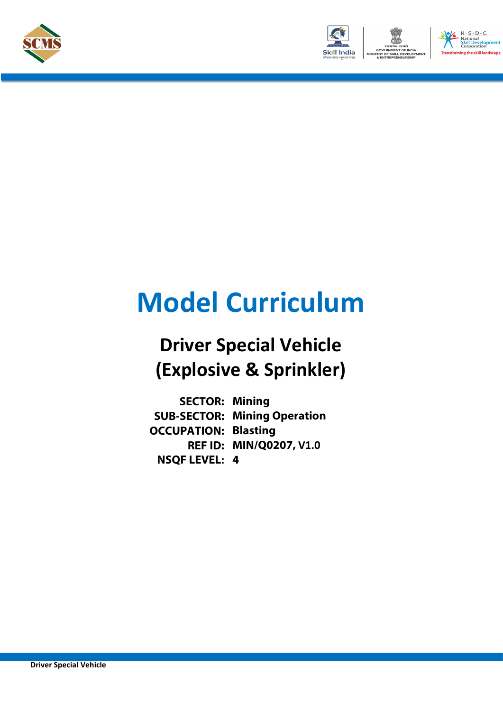



# **Model Curriculum**

### **Driver Special Vehicle (Explosive & Sprinkler)**

**SECTOR: Mining SUB-SECTOR: Mining Operation OCCUPATION: Blasting REF ID: MIN/Q0207, V1.0 NSQF LEVEL: 4**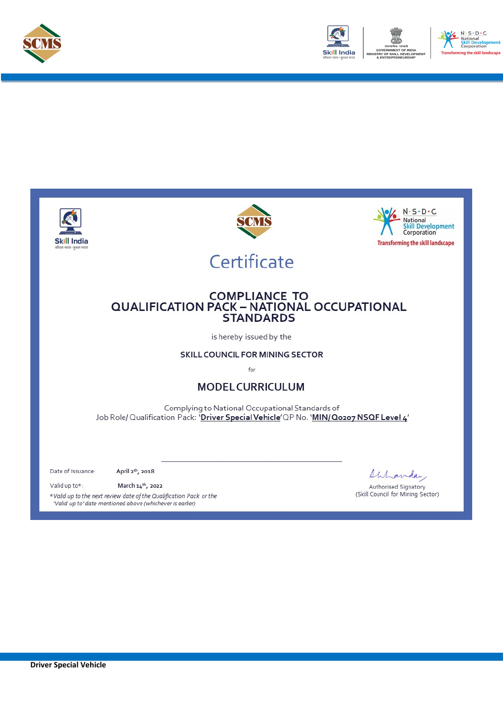



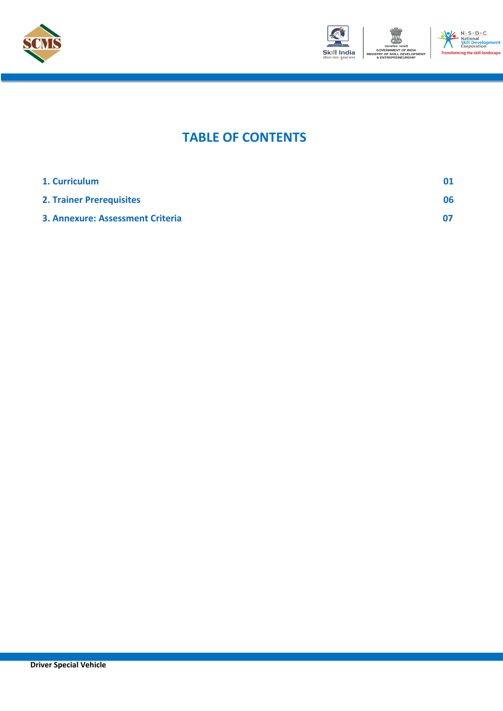



ent

### **TABLE OF CONTENTS**

| 1. Curriculum                           |     |
|-----------------------------------------|-----|
| <b>2. Trainer Prerequisites</b>         | 06. |
| <b>3. Annexure: Assessment Criteria</b> |     |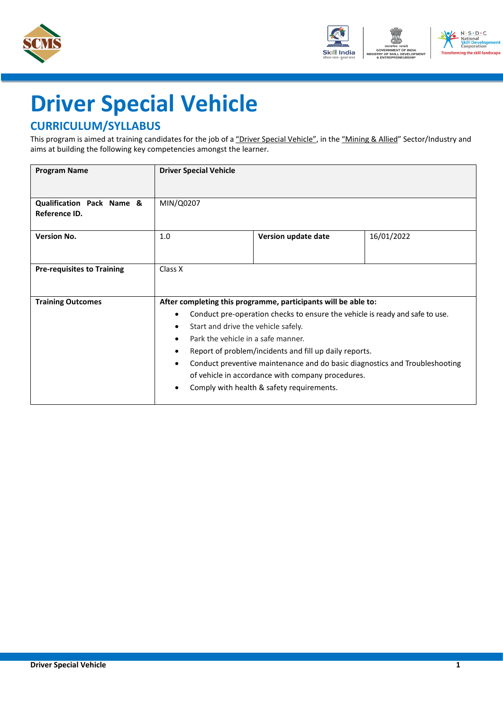



## <span id="page-3-0"></span>**Driver Special Vehicle**

#### **CURRICULUM/SYLLABUS**

This program is aimed at training candidates for the job of a "Driver Special Vehicle", in the "Mining & Allied" Sector/Industry and aims at building the following key competencies amongst the learner.

| <b>Program Name</b>                                   | <b>Driver Special Vehicle</b>                                                                                                                   |                                                                                                                                                                                                                                                                                                                                                                                           |            |
|-------------------------------------------------------|-------------------------------------------------------------------------------------------------------------------------------------------------|-------------------------------------------------------------------------------------------------------------------------------------------------------------------------------------------------------------------------------------------------------------------------------------------------------------------------------------------------------------------------------------------|------------|
| <b>Qualification Pack Name &amp;</b><br>Reference ID. | MIN/Q0207                                                                                                                                       |                                                                                                                                                                                                                                                                                                                                                                                           |            |
| <b>Version No.</b>                                    | 1.0                                                                                                                                             | Version update date                                                                                                                                                                                                                                                                                                                                                                       | 16/01/2022 |
| <b>Pre-requisites to Training</b>                     | Class X                                                                                                                                         |                                                                                                                                                                                                                                                                                                                                                                                           |            |
| <b>Training Outcomes</b>                              | $\bullet$<br>Start and drive the vehicle safely.<br>٠<br>Park the vehicle in a safe manner.<br>$\bullet$<br>$\bullet$<br>$\bullet$<br>$\bullet$ | After completing this programme, participants will be able to:<br>Conduct pre-operation checks to ensure the vehicle is ready and safe to use.<br>Report of problem/incidents and fill up daily reports.<br>Conduct preventive maintenance and do basic diagnostics and Troubleshooting<br>of vehicle in accordance with company procedures.<br>Comply with health & safety requirements. |            |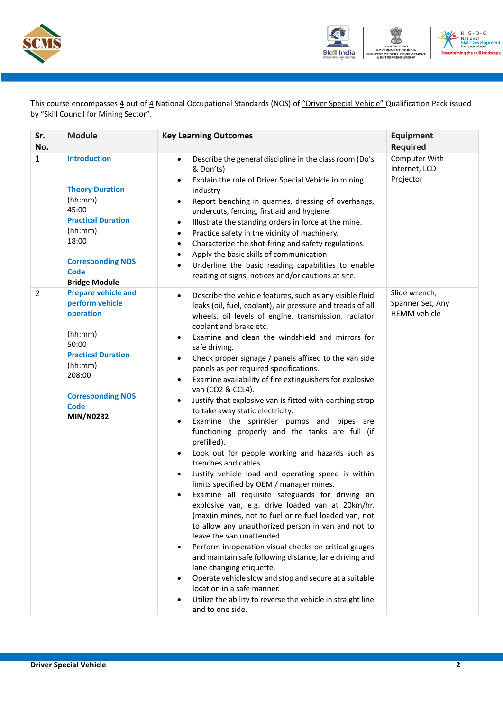



This course encompasses 4 out of 4 National Occupational Standards (NOS) of "Driver Special Vehicle" Qualification Pack issued by "Skill Council for Mining Sector".

| Sr.<br>No.     | <b>Module</b>                                                                                                                                                                                   | <b>Key Learning Outcomes</b>                                                                                                                                                                                                                                                                                                                                                                                                                                                                                                                                                                                                                                                                                                                                                                                                                                                                                                                                                                                                                                                                                                                                                                                                                                                                                                                                                                                                                                                                                                                      | <b>Equipment</b><br><b>Required</b>                      |
|----------------|-------------------------------------------------------------------------------------------------------------------------------------------------------------------------------------------------|---------------------------------------------------------------------------------------------------------------------------------------------------------------------------------------------------------------------------------------------------------------------------------------------------------------------------------------------------------------------------------------------------------------------------------------------------------------------------------------------------------------------------------------------------------------------------------------------------------------------------------------------------------------------------------------------------------------------------------------------------------------------------------------------------------------------------------------------------------------------------------------------------------------------------------------------------------------------------------------------------------------------------------------------------------------------------------------------------------------------------------------------------------------------------------------------------------------------------------------------------------------------------------------------------------------------------------------------------------------------------------------------------------------------------------------------------------------------------------------------------------------------------------------------------|----------------------------------------------------------|
| $\mathbf{1}$   | <b>Introduction</b><br><b>Theory Duration</b><br>(hh:mm)<br>45:00<br><b>Practical Duration</b><br>(hh:mm)<br>18:00<br><b>Corresponding NOS</b><br><b>Code</b><br><b>Bridge Module</b>           | Describe the general discipline in the class room (Do's<br>$\bullet$<br>& Don'ts)<br>Explain the role of Driver Special Vehicle in mining<br>$\bullet$<br>industry<br>Report benching in quarries, dressing of overhangs,<br>$\bullet$<br>undercuts, fencing, first aid and hygiene<br>Illustrate the standing orders in force at the mine.<br>$\bullet$<br>Practice safety in the vicinity of machinery.<br>$\bullet$<br>Characterize the shot-firing and safety regulations.<br>$\bullet$<br>Apply the basic skills of communication<br>Underline the basic reading capabilities to enable<br>$\bullet$<br>reading of signs, notices and/or cautions at site.                                                                                                                                                                                                                                                                                                                                                                                                                                                                                                                                                                                                                                                                                                                                                                                                                                                                                   | Computer With<br>Internet, LCD<br>Projector              |
| $\overline{2}$ | <b>Prepare vehicle and</b><br>perform vehicle<br>operation<br>(hh:mm)<br>50:00<br><b>Practical Duration</b><br>(hh:mm)<br>208:00<br><b>Corresponding NOS</b><br><b>Code</b><br><b>MIN/N0232</b> | Describe the vehicle features, such as any visible fluid<br>$\bullet$<br>leaks (oil, fuel, coolant), air pressure and treads of all<br>wheels, oil levels of engine, transmission, radiator<br>coolant and brake etc.<br>Examine and clean the windshield and mirrors for<br>$\bullet$<br>safe driving.<br>Check proper signage / panels affixed to the van side<br>$\bullet$<br>panels as per required specifications.<br>Examine availability of fire extinguishers for explosive<br>$\bullet$<br>van (CO2 & CCL4).<br>Justify that explosive van is fitted with earthing strap<br>$\bullet$<br>to take away static electricity.<br>Examine the sprinkler pumps and pipes are<br>$\bullet$<br>functioning properly and the tanks are full (if<br>prefilled).<br>Look out for people working and hazards such as<br>$\bullet$<br>trenches and cables<br>Justify vehicle load and operating speed is within<br>$\bullet$<br>limits specified by OEM / manager mines.<br>Examine all requisite safeguards for driving an<br>explosive van, e.g. drive loaded van at 20km/hr.<br>(max)in mines, not to fuel or re-fuel loaded van, not<br>to allow any unauthorized person in van and not to<br>leave the van unattended.<br>Perform in-operation visual checks on critical gauges<br>and maintain safe following distance, lane driving and<br>lane changing etiquette.<br>Operate vehicle slow and stop and secure at a suitable<br>location in a safe manner.<br>Utilize the ability to reverse the vehicle in straight line<br>and to one side. | Slide wrench,<br>Spanner Set, Any<br><b>HEMM</b> vehicle |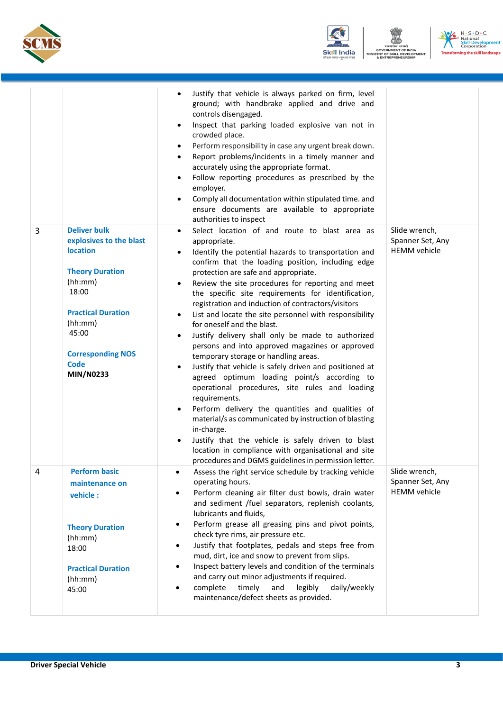





|   |                                                                                                                                                                                                                                 | Justify that vehicle is always parked on firm, level<br>ground; with handbrake applied and drive and<br>controls disengaged.<br>Inspect that parking loaded explosive van not in<br>$\bullet$<br>crowded place.<br>Perform responsibility in case any urgent break down.<br>Report problems/incidents in a timely manner and<br>$\bullet$<br>accurately using the appropriate format.<br>Follow reporting procedures as prescribed by the<br>employer.<br>Comply all documentation within stipulated time. and<br>$\bullet$<br>ensure documents are available to appropriate<br>authorities to inspect                                                                                                                                                                                                                                                                                                                                                                                                                                                                                                                                                                                 |                                                          |
|---|---------------------------------------------------------------------------------------------------------------------------------------------------------------------------------------------------------------------------------|----------------------------------------------------------------------------------------------------------------------------------------------------------------------------------------------------------------------------------------------------------------------------------------------------------------------------------------------------------------------------------------------------------------------------------------------------------------------------------------------------------------------------------------------------------------------------------------------------------------------------------------------------------------------------------------------------------------------------------------------------------------------------------------------------------------------------------------------------------------------------------------------------------------------------------------------------------------------------------------------------------------------------------------------------------------------------------------------------------------------------------------------------------------------------------------|----------------------------------------------------------|
| 3 | <b>Deliver bulk</b><br>explosives to the blast<br><b>location</b><br><b>Theory Duration</b><br>(hh:mm)<br>18:00<br><b>Practical Duration</b><br>(hh:mm)<br>45:00<br><b>Corresponding NOS</b><br><b>Code</b><br><b>MIN/N0233</b> | Select location of and route to blast area as<br>$\bullet$<br>appropriate.<br>Identify the potential hazards to transportation and<br>$\bullet$<br>confirm that the loading position, including edge<br>protection are safe and appropriate.<br>Review the site procedures for reporting and meet<br>$\bullet$<br>the specific site requirements for identification,<br>registration and induction of contractors/visitors<br>List and locate the site personnel with responsibility<br>for oneself and the blast.<br>Justify delivery shall only be made to authorized<br>$\bullet$<br>persons and into approved magazines or approved<br>temporary storage or handling areas.<br>Justify that vehicle is safely driven and positioned at<br>$\bullet$<br>agreed optimum loading point/s according to<br>operational procedures, site rules and loading<br>requirements.<br>Perform delivery the quantities and qualities of<br>$\bullet$<br>material/s as communicated by instruction of blasting<br>in-charge.<br>Justify that the vehicle is safely driven to blast<br>location in compliance with organisational and site<br>procedures and DGMS guidelines in permission letter. | Slide wrench,<br>Spanner Set, Any<br><b>HEMM</b> vehicle |
| 4 | <b>Perform basic</b><br>maintenance on<br>vehicle:<br><b>Theory Duration</b><br>(hh:mm)<br>18:00<br><b>Practical Duration</b><br>(hh:mm)<br>45:00                                                                               | Assess the right service schedule by tracking vehicle<br>$\bullet$<br>operating hours.<br>Perform cleaning air filter dust bowls, drain water<br>$\bullet$<br>and sediment /fuel separators, replenish coolants,<br>lubricants and fluids,<br>Perform grease all greasing pins and pivot points,<br>$\bullet$<br>check tyre rims, air pressure etc.<br>Justify that footplates, pedals and steps free from<br>$\bullet$<br>mud, dirt, ice and snow to prevent from slips.<br>Inspect battery levels and condition of the terminals<br>$\bullet$<br>and carry out minor adjustments if required.<br>legibly<br>complete<br>timely<br>and<br>daily/weekly<br>$\bullet$<br>maintenance/defect sheets as provided.                                                                                                                                                                                                                                                                                                                                                                                                                                                                         | Slide wrench,<br>Spanner Set, Any<br><b>HEMM</b> vehicle |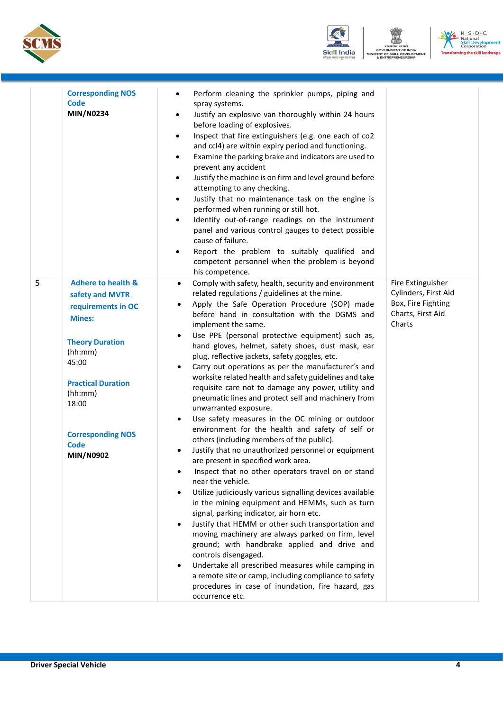





|   | <b>Corresponding NOS</b><br><b>Code</b><br><b>MIN/N0234</b>                                                                                                                            | Perform cleaning the sprinkler pumps, piping and<br>$\bullet$<br>spray systems.<br>Justify an explosive van thoroughly within 24 hours<br>$\bullet$<br>before loading of explosives.<br>Inspect that fire extinguishers (e.g. one each of co2<br>$\bullet$<br>and ccl4) are within expiry period and functioning.<br>Examine the parking brake and indicators are used to<br>$\bullet$<br>prevent any accident<br>Justify the machine is on firm and level ground before<br>٠<br>attempting to any checking.<br>Justify that no maintenance task on the engine is<br>٠<br>performed when running or still hot.<br>Identify out-of-range readings on the instrument<br>$\bullet$<br>panel and various control gauges to detect possible<br>cause of failure.<br>Report the problem to suitably qualified and<br>$\bullet$<br>competent personnel when the problem is beyond<br>his competence. |                                                                                                |
|---|----------------------------------------------------------------------------------------------------------------------------------------------------------------------------------------|-----------------------------------------------------------------------------------------------------------------------------------------------------------------------------------------------------------------------------------------------------------------------------------------------------------------------------------------------------------------------------------------------------------------------------------------------------------------------------------------------------------------------------------------------------------------------------------------------------------------------------------------------------------------------------------------------------------------------------------------------------------------------------------------------------------------------------------------------------------------------------------------------|------------------------------------------------------------------------------------------------|
| 5 | <b>Adhere to health &amp;</b><br>safety and MVTR<br>requirements in OC<br><b>Mines:</b><br><b>Theory Duration</b><br>(hh:mm)<br>45:00<br><b>Practical Duration</b><br>(hh:mm)<br>18:00 | Comply with safety, health, security and environment<br>$\bullet$<br>related regulations / guidelines at the mine.<br>Apply the Safe Operation Procedure (SOP) made<br>$\bullet$<br>before hand in consultation with the DGMS and<br>implement the same.<br>Use PPE (personal protective equipment) such as,<br>$\bullet$<br>hand gloves, helmet, safety shoes, dust mask, ear<br>plug, reflective jackets, safety goggles, etc.<br>Carry out operations as per the manufacturer's and<br>$\bullet$<br>worksite related health and safety guidelines and take<br>requisite care not to damage any power, utility and<br>pneumatic lines and protect self and machinery from<br>unwarranted exposure.<br>Use safety measures in the OC mining or outdoor<br>$\bullet$<br>environment for the health and safety of self or                                                                      | Fire Extinguisher<br>Cylinders, First Aid<br>Box, Fire Fighting<br>Charts, First Aid<br>Charts |
|   | <b>Corresponding NOS</b><br>Code<br><b>MIN/N0902</b>                                                                                                                                   | others (including members of the public).<br>Justify that no unauthorized personnel or equipment<br>$\bullet$<br>are present in specified work area.<br>Inspect that no other operators travel on or stand<br>٠<br>near the vehicle.<br>Utilize judiciously various signalling devices available<br>$\bullet$<br>in the mining equipment and HEMMs, such as turn<br>signal, parking indicator, air horn etc.<br>Justify that HEMM or other such transportation and<br>$\bullet$<br>moving machinery are always parked on firm, level<br>ground; with handbrake applied and drive and<br>controls disengaged.<br>Undertake all prescribed measures while camping in<br>$\bullet$<br>a remote site or camp, including compliance to safety<br>procedures in case of inundation, fire hazard, gas<br>occurrence etc.                                                                             |                                                                                                |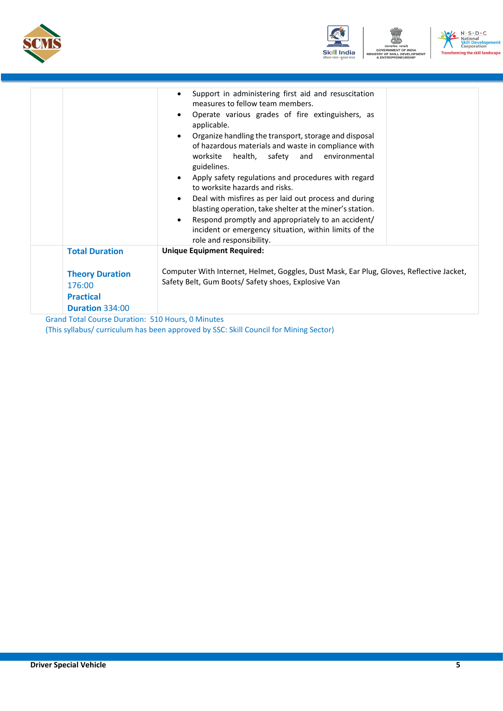



|                        | Support in administering first aid and resuscitation<br>measures to fellow team members.<br>Operate various grades of fire extinguishers, as<br>applicable.<br>Organize handling the transport, storage and disposal<br>of hazardous materials and waste in compliance with<br>worksite<br>and environmental<br>health, safety<br>guidelines.<br>Apply safety regulations and procedures with regard<br>to worksite hazards and risks.<br>Deal with misfires as per laid out process and during<br>blasting operation, take shelter at the miner's station.<br>Respond promptly and appropriately to an accident/<br>incident or emergency situation, within limits of the<br>role and responsibility. |  |
|------------------------|--------------------------------------------------------------------------------------------------------------------------------------------------------------------------------------------------------------------------------------------------------------------------------------------------------------------------------------------------------------------------------------------------------------------------------------------------------------------------------------------------------------------------------------------------------------------------------------------------------------------------------------------------------------------------------------------------------|--|
| <b>Total Duration</b>  | <b>Unique Equipment Required:</b>                                                                                                                                                                                                                                                                                                                                                                                                                                                                                                                                                                                                                                                                      |  |
| <b>Theory Duration</b> | Computer With Internet, Helmet, Goggles, Dust Mask, Ear Plug, Gloves, Reflective Jacket,                                                                                                                                                                                                                                                                                                                                                                                                                                                                                                                                                                                                               |  |
| 176:00                 | Safety Belt, Gum Boots/ Safety shoes, Explosive Van                                                                                                                                                                                                                                                                                                                                                                                                                                                                                                                                                                                                                                                    |  |
| <b>Practical</b>       |                                                                                                                                                                                                                                                                                                                                                                                                                                                                                                                                                                                                                                                                                                        |  |
| Duration 334:00        |                                                                                                                                                                                                                                                                                                                                                                                                                                                                                                                                                                                                                                                                                                        |  |

Grand Total Course Duration: 510 Hours, 0 Minutes (This syllabus/ curriculum has been approved by SSC: Skill Council for Mining Sector)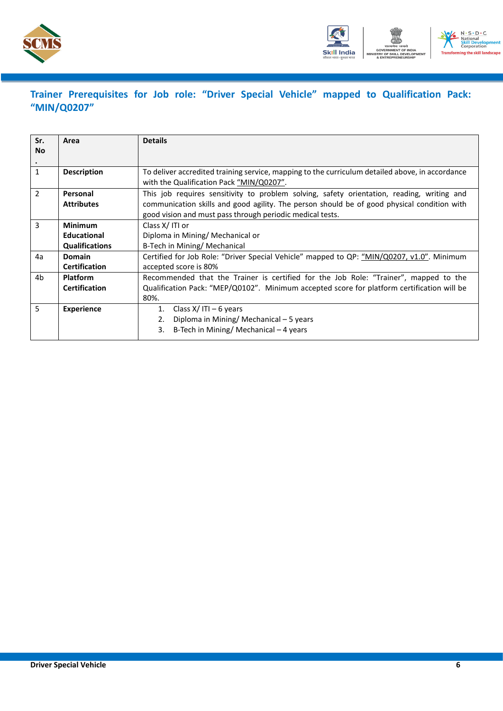



### <span id="page-8-0"></span>**Trainer Prerequisites for Job role: "Driver Special Vehicle" mapped to Qualification Pack: "MIN/Q0207"**

| Sr.<br><b>No</b><br>$\bullet$ | Area                                                          | <b>Details</b>                                                                                                                                                                                                                                         |
|-------------------------------|---------------------------------------------------------------|--------------------------------------------------------------------------------------------------------------------------------------------------------------------------------------------------------------------------------------------------------|
| $\mathbf{1}$                  | <b>Description</b>                                            | To deliver accredited training service, mapping to the curriculum detailed above, in accordance<br>with the Qualification Pack "MIN/Q0207".                                                                                                            |
| $\overline{2}$                | Personal<br><b>Attributes</b>                                 | This job requires sensitivity to problem solving, safety orientation, reading, writing and<br>communication skills and good agility. The person should be of good physical condition with<br>good vision and must pass through periodic medical tests. |
| 3                             | <b>Minimum</b><br><b>Educational</b><br><b>Qualifications</b> | Class X/ITI or<br>Diploma in Mining/ Mechanical or<br>B-Tech in Mining/ Mechanical                                                                                                                                                                     |
| 4a                            | <b>Domain</b><br><b>Certification</b>                         | Certified for Job Role: "Driver Special Vehicle" mapped to QP: "MIN/Q0207, v1.0". Minimum<br>accepted score is 80%                                                                                                                                     |
| 4b                            | <b>Platform</b><br><b>Certification</b>                       | Recommended that the Trainer is certified for the Job Role: "Trainer", mapped to the<br>Qualification Pack: "MEP/Q0102". Minimum accepted score for platform certification will be<br>80%.                                                             |
| 5                             | <b>Experience</b>                                             | Class $X/$ ITI – 6 years<br>1.<br>Diploma in Mining/ Mechanical - 5 years<br>2.<br>B-Tech in Mining/ Mechanical – 4 years<br>3.                                                                                                                        |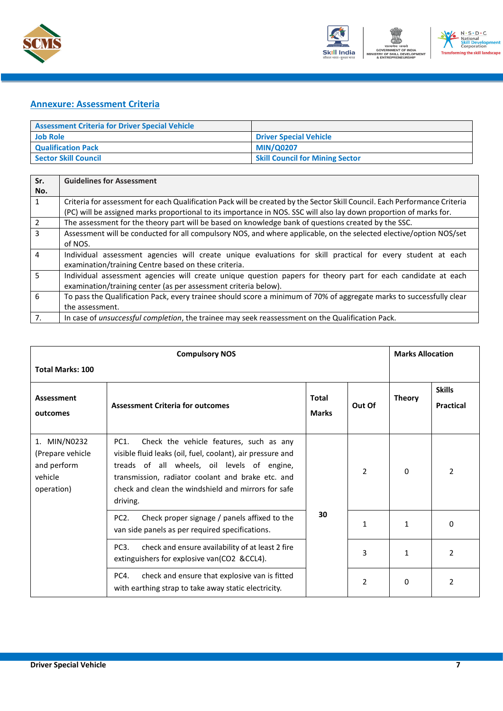



#### <span id="page-9-0"></span>**Annexure: Assessment Criteria**

| <b>Assessment Criteria for Driver Special Vehicle</b> |                                        |
|-------------------------------------------------------|----------------------------------------|
| <b>Job Role</b>                                       | <b>Driver Special Vehicle</b>          |
| <b>Qualification Pack</b>                             | <b>MIN/Q0207</b>                       |
| <b>Sector Skill Council</b>                           | <b>Skill Council for Mining Sector</b> |

| Sr.          | <b>Guidelines for Assessment</b>                                                                                           |
|--------------|----------------------------------------------------------------------------------------------------------------------------|
| No.          |                                                                                                                            |
| $\mathbf{1}$ | Criteria for assessment for each Qualification Pack will be created by the Sector Skill Council. Each Performance Criteria |
|              | (PC) will be assigned marks proportional to its importance in NOS. SSC will also lay down proportion of marks for.         |
| 2            | The assessment for the theory part will be based on knowledge bank of questions created by the SSC.                        |
| 3            | Assessment will be conducted for all compulsory NOS, and where applicable, on the selected elective/option NOS/set         |
|              | of NOS.                                                                                                                    |
| 4            | Individual assessment agencies will create unique evaluations for skill practical for every student at each                |
|              | examination/training Centre based on these criteria.                                                                       |
| 5            | Individual assessment agencies will create unique question papers for theory part for each candidate at each               |
|              | examination/training center (as per assessment criteria below).                                                            |
| 6            | To pass the Qualification Pack, every trainee should score a minimum of 70% of aggregate marks to successfully clear       |
|              | the assessment.                                                                                                            |
| 7.           | In case of <i>unsuccessful completion</i> , the trainee may seek reassessment on the Qualification Pack.                   |

|                                                                          | <b>Compulsory NOS</b>                                                                                                                                                                                                                                                                           |                              |                | <b>Marks Allocation</b> |                                   |
|--------------------------------------------------------------------------|-------------------------------------------------------------------------------------------------------------------------------------------------------------------------------------------------------------------------------------------------------------------------------------------------|------------------------------|----------------|-------------------------|-----------------------------------|
| <b>Total Marks: 100</b>                                                  |                                                                                                                                                                                                                                                                                                 |                              |                |                         |                                   |
| Assessment<br>outcomes                                                   | <b>Assessment Criteria for outcomes</b>                                                                                                                                                                                                                                                         | <b>Total</b><br><b>Marks</b> | Out Of         | <b>Theory</b>           | <b>Skills</b><br><b>Practical</b> |
| 1. MIN/N0232<br>(Prepare vehicle<br>and perform<br>vehicle<br>operation) | PC <sub>1</sub><br>Check the vehicle features, such as any<br>visible fluid leaks (oil, fuel, coolant), air pressure and<br>treads of all wheels, oil levels of engine,<br>transmission, radiator coolant and brake etc. and<br>check and clean the windshield and mirrors for safe<br>driving. |                              | $\overline{2}$ | 0                       | 2                                 |
|                                                                          | PC <sub>2</sub> .<br>Check proper signage / panels affixed to the<br>van side panels as per required specifications.                                                                                                                                                                            | 30                           | $\mathbf{1}$   | $\mathbf{1}$            | 0                                 |
|                                                                          | PC <sub>3</sub> .<br>check and ensure availability of at least 2 fire<br>extinguishers for explosive van(CO2 &CCL4).                                                                                                                                                                            |                              | 3              | 1                       | 2                                 |
|                                                                          | PC4.<br>check and ensure that explosive van is fitted<br>with earthing strap to take away static electricity.                                                                                                                                                                                   |                              | 2              | $\Omega$                | 2                                 |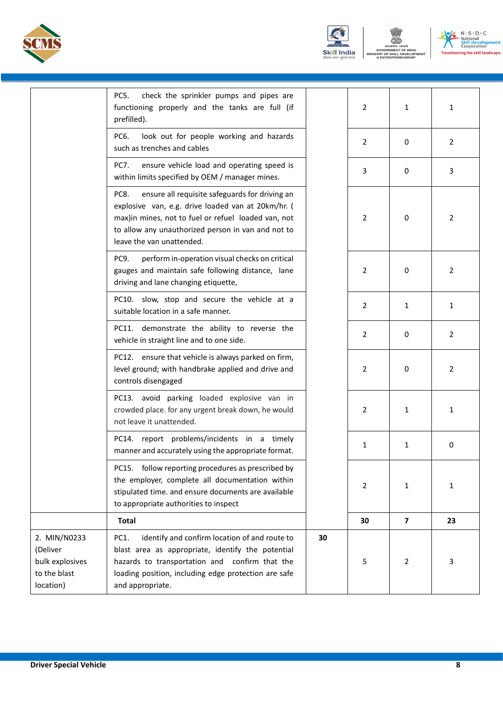





|                                                                          | PC5.<br>check the sprinkler pumps and pipes are<br>functioning properly and the tanks are full (if<br>prefilled).                                                                                                                                      |    | $\overline{2}$ | 1              | $\mathbf{1}$   |
|--------------------------------------------------------------------------|--------------------------------------------------------------------------------------------------------------------------------------------------------------------------------------------------------------------------------------------------------|----|----------------|----------------|----------------|
|                                                                          | PC6.<br>look out for people working and hazards<br>such as trenches and cables                                                                                                                                                                         |    | $\overline{2}$ | 0              | $\overline{2}$ |
|                                                                          | PC7.<br>ensure vehicle load and operating speed is<br>within limits specified by OEM / manager mines.                                                                                                                                                  |    | 3              | 0              | 3              |
|                                                                          | ensure all requisite safeguards for driving an<br>PC8.<br>explosive van, e.g. drive loaded van at 20km/hr. (<br>max)in mines, not to fuel or refuel loaded van, not<br>to allow any unauthorized person in van and not to<br>leave the van unattended. |    | $\overline{2}$ | 0              | $\overline{2}$ |
|                                                                          | PC9.<br>perform in-operation visual checks on critical<br>gauges and maintain safe following distance, lane<br>driving and lane changing etiquette,                                                                                                    |    | 2              | 0              | $\overline{2}$ |
|                                                                          | PC10. slow, stop and secure the vehicle at a<br>suitable location in a safe manner.                                                                                                                                                                    |    | 2              | 1              | 1              |
|                                                                          | PC11. demonstrate the ability to reverse the<br>vehicle in straight line and to one side.                                                                                                                                                              |    | $\overline{2}$ | 0              | $\overline{2}$ |
|                                                                          | PC12. ensure that vehicle is always parked on firm,<br>level ground; with handbrake applied and drive and<br>controls disengaged                                                                                                                       |    | $\overline{2}$ | 0              | $\overline{2}$ |
|                                                                          | PC13. avoid parking loaded explosive van in<br>crowded place. for any urgent break down, he would<br>not leave it unattended.                                                                                                                          |    | $\overline{2}$ | 1              | 1              |
|                                                                          | PC14. report problems/incidents in a timely<br>manner and accurately using the appropriate format.                                                                                                                                                     |    | $\mathbf{1}$   | 1              | 0              |
|                                                                          | PC15. follow reporting procedures as prescribed by<br>the employer, complete all documentation within<br>stipulated time. and ensure documents are available<br>to appropriate authorities to inspect                                                  |    | 2              | 1              | 1              |
|                                                                          | <b>Total</b>                                                                                                                                                                                                                                           |    | 30             | $\overline{7}$ | 23             |
| 2. MIN/N0233<br>(Deliver<br>bulk explosives<br>to the blast<br>location) | identify and confirm location of and route to<br>PC1.<br>blast area as appropriate, identify the potential<br>hazards to transportation and confirm that the<br>loading position, including edge protection are safe<br>and appropriate.               | 30 | 5              | 2              | 3              |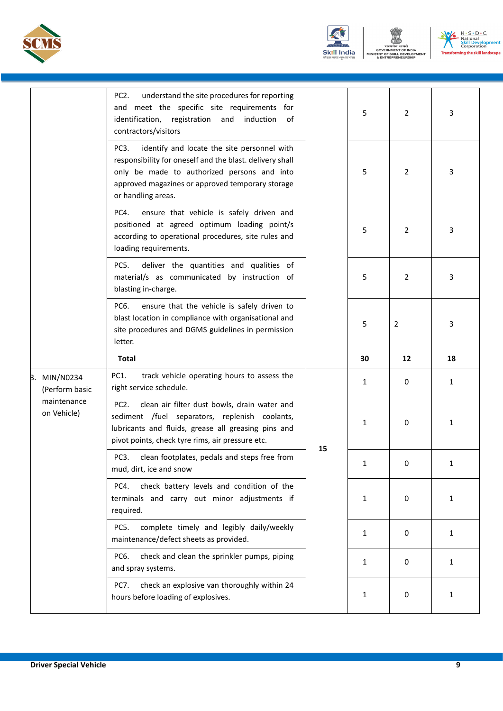





|                                   | PC <sub>2</sub> .<br>understand the site procedures for reporting<br>and meet the specific site requirements for<br>identification, registration and induction<br>of<br>contractors/visitors                                                          |    | 5            | 2              | 3            |
|-----------------------------------|-------------------------------------------------------------------------------------------------------------------------------------------------------------------------------------------------------------------------------------------------------|----|--------------|----------------|--------------|
|                                   | identify and locate the site personnel with<br>PC <sub>3</sub> .<br>responsibility for oneself and the blast. delivery shall<br>only be made to authorized persons and into<br>approved magazines or approved temporary storage<br>or handling areas. |    | 5            | 2              | 3            |
|                                   | ensure that vehicle is safely driven and<br>PC4.<br>positioned at agreed optimum loading point/s<br>according to operational procedures, site rules and<br>loading requirements.                                                                      |    | 5            | 2              | 3            |
|                                   | deliver the quantities and qualities of<br>PC5.<br>material/s as communicated by instruction of<br>blasting in-charge.                                                                                                                                |    | 5            | $\overline{2}$ | 3            |
|                                   | PC6.<br>ensure that the vehicle is safely driven to<br>blast location in compliance with organisational and<br>site procedures and DGMS guidelines in permission<br>letter.                                                                           |    | 5            | 2              | 3            |
|                                   |                                                                                                                                                                                                                                                       |    |              |                |              |
|                                   | <b>Total</b>                                                                                                                                                                                                                                          |    | 30           | 12             | 18           |
| MIN/N0234<br>В.<br>(Perform basic | PC1.<br>track vehicle operating hours to assess the<br>right service schedule.                                                                                                                                                                        |    | 1            | 0              | 1            |
| maintenance<br>on Vehicle)        | clean air filter dust bowls, drain water and<br>PC <sub>2</sub> .<br>sediment /fuel separators, replenish coolants,<br>lubricants and fluids, grease all greasing pins and<br>pivot points, check tyre rims, air pressure etc.                        |    | 1            | 0              | 1            |
|                                   | PC3.<br>clean footplates, pedals and steps free from<br>mud, dirt, ice and snow                                                                                                                                                                       | 15 | 1            | 0              | 1            |
|                                   | check battery levels and condition of the<br>PC4.<br>terminals and carry out minor adjustments if<br>required.                                                                                                                                        |    | 1            | 0              | 1            |
|                                   | complete timely and legibly daily/weekly<br>PC5.<br>maintenance/defect sheets as provided.                                                                                                                                                            |    | $\mathbf{1}$ | 0              | $\mathbf{1}$ |
|                                   | check and clean the sprinkler pumps, piping<br>PC6.<br>and spray systems.                                                                                                                                                                             |    | 1            | 0              | 1            |
|                                   | check an explosive van thoroughly within 24<br><b>PC7.</b><br>hours before loading of explosives.                                                                                                                                                     |    | 1            | 0              | 1            |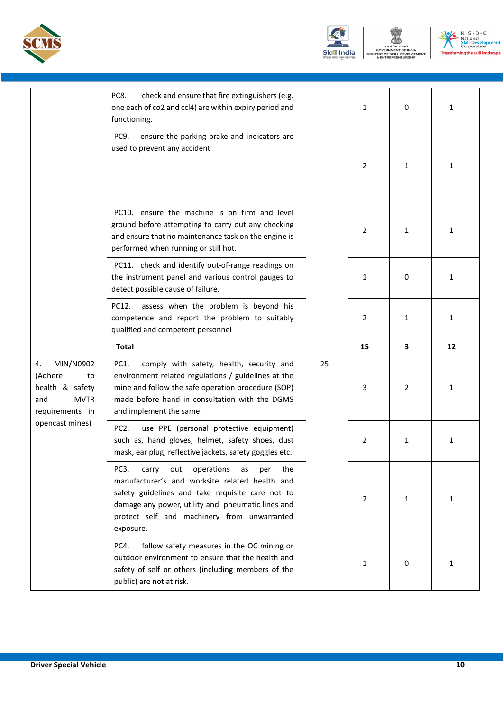





|                                                                                                                 | PC8.<br>check and ensure that fire extinguishers (e.g.<br>one each of co2 and ccl4) are within expiry period and<br>functioning.                                                                                                                                                           |    | $\mathbf{1}$   | 0 | $\mathbf{1}$ |
|-----------------------------------------------------------------------------------------------------------------|--------------------------------------------------------------------------------------------------------------------------------------------------------------------------------------------------------------------------------------------------------------------------------------------|----|----------------|---|--------------|
|                                                                                                                 | ensure the parking brake and indicators are<br>PC9.<br>used to prevent any accident                                                                                                                                                                                                        |    | 2              | 1 | 1            |
|                                                                                                                 | PC10. ensure the machine is on firm and level<br>ground before attempting to carry out any checking<br>and ensure that no maintenance task on the engine is<br>performed when running or still hot.                                                                                        |    | 2              | 1 | 1            |
|                                                                                                                 | PC11. check and identify out-of-range readings on<br>the instrument panel and various control gauges to<br>detect possible cause of failure.                                                                                                                                               |    | $\mathbf{1}$   | 0 | $\mathbf{1}$ |
|                                                                                                                 | assess when the problem is beyond his<br>PC12.<br>competence and report the problem to suitably<br>qualified and competent personnel                                                                                                                                                       |    | $\overline{2}$ | 1 | $\mathbf{1}$ |
|                                                                                                                 | <b>Total</b>                                                                                                                                                                                                                                                                               |    | 15             | 3 | 12           |
| MIN/N0902<br>4.<br>(Adhere<br>to<br>health & safety<br><b>MVTR</b><br>and<br>requirements in<br>opencast mines) | comply with safety, health, security and<br>PC1.<br>environment related regulations / guidelines at the<br>mine and follow the safe operation procedure (SOP)<br>made before hand in consultation with the DGMS<br>and implement the same.                                                 | 25 | 3              | 2 | 1            |
|                                                                                                                 | PC <sub>2</sub> .<br>use PPE (personal protective equipment)<br>such as, hand gloves, helmet, safety shoes, dust<br>mask, ear plug, reflective jackets, safety goggles etc.                                                                                                                |    | $\overline{2}$ | 1 | 1            |
|                                                                                                                 | PC <sub>3</sub> .<br>operations<br>the<br>carry<br>out<br>as<br>per<br>manufacturer's and worksite related health and<br>safety guidelines and take requisite care not to<br>damage any power, utility and pneumatic lines and<br>protect self and machinery from unwarranted<br>exposure. |    | 2              | 1 | 1            |
|                                                                                                                 | PC4.<br>follow safety measures in the OC mining or<br>outdoor environment to ensure that the health and<br>safety of self or others (including members of the                                                                                                                              |    | 1              | 0 | 1            |